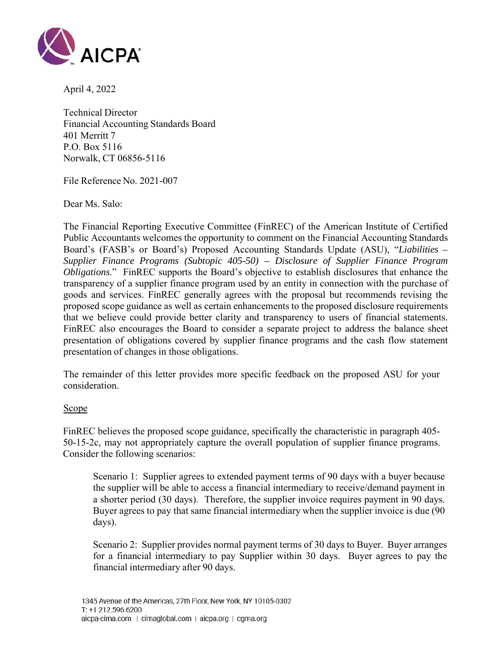

April 4, 2022

Technical Director Financial Accounting Standards Board 401 Merritt 7 P.O. Box 5116 Norwalk, CT 06856-5116

File Reference No. 2021-007

Dear Ms. Salo:

The Financial Reporting Executive Committee (FinREC) of the American Institute of Certified Public Accountants welcomes the opportunity to comment on the Financial Accounting Standards Board's (FASB's or Board's) Proposed Accounting Standards Update (ASU), "*Liabilities – Supplier Finance Programs (Subtopic 405-50) – Disclosure of Supplier Finance Program Obligations*." FinREC supports the Board's objective to establish disclosures that enhance the transparency of a supplier finance program used by an entity in connection with the purchase of goods and services. FinREC generally agrees with the proposal but recommends revising the proposed scope guidance as well as certain enhancements to the proposed disclosure requirements that we believe could provide better clarity and transparency to users of financial statements. FinREC also encourages the Board to consider a separate project to address the balance sheet presentation of obligations covered by supplier finance programs and the cash flow statement presentation of changes in those obligations.

The remainder of this letter provides more specific feedback on the proposed ASU for your consideration.

#### **Scope**

FinREC believes the proposed scope guidance, specifically the characteristic in paragraph 405- 50-15-2c, may not appropriately capture the overall population of supplier finance programs. Consider the following scenarios:

Scenario 1: Supplier agrees to extended payment terms of 90 days with a buyer because the supplier will be able to access a financial intermediary to receive/demand payment in a shorter period (30 days). Therefore, the supplier invoice requires payment in 90 days. Buyer agrees to pay that same financial intermediary when the supplier invoice is due (90 days).

Scenario 2: Supplier provides normal payment terms of 30 days to Buyer. Buyer arranges for a financial intermediary to pay Supplier within 30 days. Buyer agrees to pay the financial intermediary after 90 days.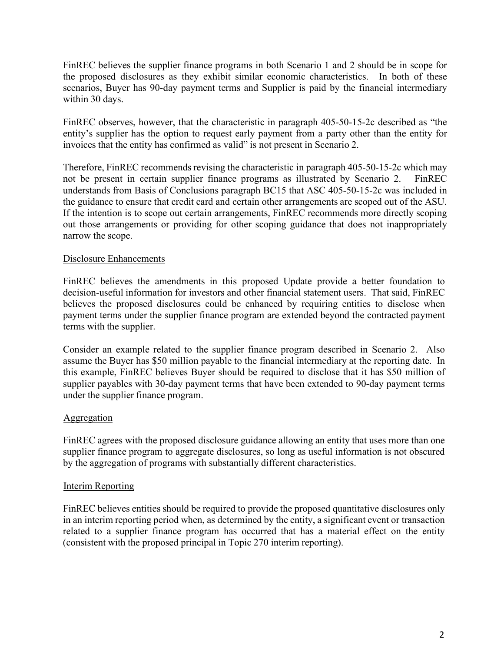FinREC believes the supplier finance programs in both Scenario 1 and 2 should be in scope for the proposed disclosures as they exhibit similar economic characteristics. In both of these scenarios, Buyer has 90-day payment terms and Supplier is paid by the financial intermediary within 30 days.

FinREC observes, however, that the characteristic in paragraph 405-50-15-2c described as "the entity's supplier has the option to request early payment from a party other than the entity for invoices that the entity has confirmed as valid" is not present in Scenario 2.

Therefore, FinREC recommends revising the characteristic in paragraph 405-50-15-2c which may not be present in certain supplier finance programs as illustrated by Scenario 2. FinREC understands from Basis of Conclusions paragraph BC15 that ASC 405-50-15-2c was included in the guidance to ensure that credit card and certain other arrangements are scoped out of the ASU. If the intention is to scope out certain arrangements, FinREC recommends more directly scoping out those arrangements or providing for other scoping guidance that does not inappropriately narrow the scope.

## Disclosure Enhancements

FinREC believes the amendments in this proposed Update provide a better foundation to decision-useful information for investors and other financial statement users. That said, FinREC believes the proposed disclosures could be enhanced by requiring entities to disclose when payment terms under the supplier finance program are extended beyond the contracted payment terms with the supplier.

Consider an example related to the supplier finance program described in Scenario 2. Also assume the Buyer has \$50 million payable to the financial intermediary at the reporting date. In this example, FinREC believes Buyer should be required to disclose that it has \$50 million of supplier payables with 30-day payment terms that have been extended to 90-day payment terms under the supplier finance program.

#### **Aggregation**

FinREC agrees with the proposed disclosure guidance allowing an entity that uses more than one supplier finance program to aggregate disclosures, so long as useful information is not obscured by the aggregation of programs with substantially different characteristics.

# Interim Reporting

FinREC believes entities should be required to provide the proposed quantitative disclosures only in an interim reporting period when, as determined by the entity, a significant event or transaction related to a supplier finance program has occurred that has a material effect on the entity (consistent with the proposed principal in Topic 270 interim reporting).